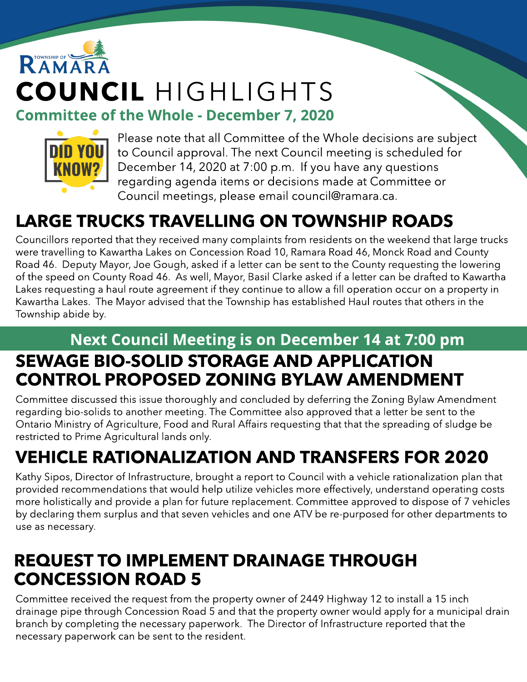# RAMARA COUNCIL HIGHLIGHTS **Committee of the Whole - December 7, 2020**



Please note that all Committee of the Whole decisions are subject to Council approval. The next Council meeting is scheduled for December 14, 2020 at 7:00 p.m. If you have any questions regarding agenda items or decisions made at Committee or Council meetings, please email council@ramara.ca.

## LARGE TRUCKS TRAVELLING ON TOWNSHIP ROADS

Councillors reported that they received many complaints from residents on the weekend that large trucks were travelling to Kawartha Lakes on Concession Road 10, Ramara Road 46, Monck Road and County Road 46. Deputy Mayor, Joe Gough, asked if a letter can be sent to the County requesting the lowering of the speed on County Road 46. As well, Mayor, Basil Clarke asked if a letter can be drafted to Kawartha Lakes requesting a haul route agreement if they continue to allow a fill operation occur on a property in Kawartha Lakes. The Mayor advised that the Township has established Haul routes that others in the Township abide by.

#### Next Council Meeting is on December 14 at 7:00 pm SEWAGE BIO-SOLID STORAGE AND APPLICATION CONTROL PROPOSED ZONING BYLAW AMENDMENT

Committee discussed this issue thoroughly and concluded by deferring the Zoning Bylaw Amendment regarding bio-solids to another meeting. The Committee also approved that a letter be sent to the Ontario Ministry of Agriculture, Food and Rural Affairs requesting that that the spreading of sludge be restricted to Prime Agricultural lands only.

## VEHICLE RATIONALIZATION AND TRANSFERS FOR 2020

Kathy Sipos, Director of Infrastructure, brought a report to Council with a vehicle rationalization plan that provided recommendations that would help utilize vehicles more effectively, understand operating costs more holistically and provide a plan for future replacement. Committee approved to dispose of 7 vehicles by declaring them surplus and that seven vehicles and one ATV be re-purposed for other departments to use as necessary.

#### REQUEST TO IMPLEMENT DRAINAGE THROUGH CONCESSION ROAD 5

Committee received the request from the property owner of 2449 Highway 12 to install a 15 inch drainage pipe through Concession Road 5 and that the property owner would apply for a municipal drain branch by completing the necessary paperwork. The Director of Infrastructure reported that the necessary paperwork can be sent to the resident.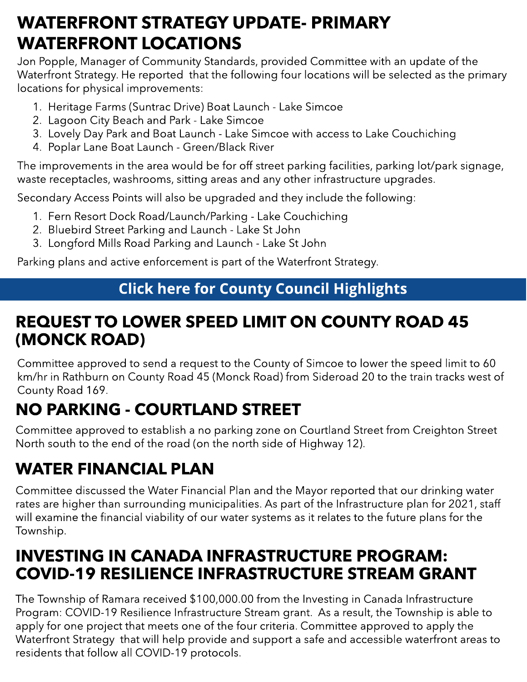### WATERFRONT STRATEGY UPDATE- PRIMARY WATERFRONT LOCATIONS

Jon Popple, Manager of Community Standards, provided Committee with an update of the Waterfront Strategy. He reported that the following four locations will be selected as the primary locations for physical improvements:

- 1. Heritage Farms (Suntrac Drive) Boat Launch Lake Simcoe
- 2. Lagoon City Beach and Park Lake Simcoe
- 3. Lovely Day Park and Boat Launch Lake Simcoe with access to Lake Couchiching
- 4. Poplar Lane Boat Launch Green/Black River

The improvements in the area would be for off street parking facilities, parking lot/park signage, waste receptacles, washrooms, sitting areas and any other infrastructure upgrades.

Secondary Access Points will also be upgraded and they include the following:

- 1. Fern Resort Dock Road/Launch/Parking Lake Couchiching
- 2. Bluebird Street Parking and Launch Lake St John
- 3. Longford Mills Road Parking and Launch Lake St John

Parking plans and active enforcement is part of the Waterfront Strategy.

#### **[Click](https://ramara.civicweb.net/portal/) [here](https://ramara.civicweb.net/portal/) [for](https://ramara.civicweb.net/portal/) [Count](https://www.simcoe.ca/dpt/ccd/newsletters)y [Council](https://www.simcoe.ca/dpt/ccd/newsletters) [Highlight](https://www.simcoe.ca/dpt/ccd/newsletters)s**

#### REQUEST TO LOWER SPEED LIMIT ON COUNTY ROAD 45 (MONCK ROAD)

Committee approved to send a request to the County of Simcoe to lower the speed limit to 60 km/hr in Rathburn on County Road 45 (Monck Road) from Sideroad 20 to the train tracks west of County Road 169.

### NO PARKING - COURTLAND STREET

Committee approved to establish a no parking zone on Courtland Street from Creighton Street North south to the end of the road (on the north side of Highway 12).

#### WATER FINANCIAL PLAN

Committee discussed the Water Financial Plan and the Mayor reported that our drinking water rates are higher than surrounding municipalities. As part of the Infrastructure plan for 2021, staff will examine the financial viability of our water systems as it relates to the future plans for the Township.

#### INVESTING IN CANADA INFRASTRUCTURE PROGRAM: COVID-19 RESILIENCE INFRASTRUCTURE STREAM GRANT

The Township of Ramara received \$100,000.00 from the Investing in Canada Infrastructure Program: COVID-19 Resilience Infrastructure Stream grant. As a result, the Township is able to apply for one project that meets one of the four criteria. Committee approved to apply the Waterfront Strategy that will help provide and support a safe and accessible waterfront areas to residents that follow all COVID-19 protocols.